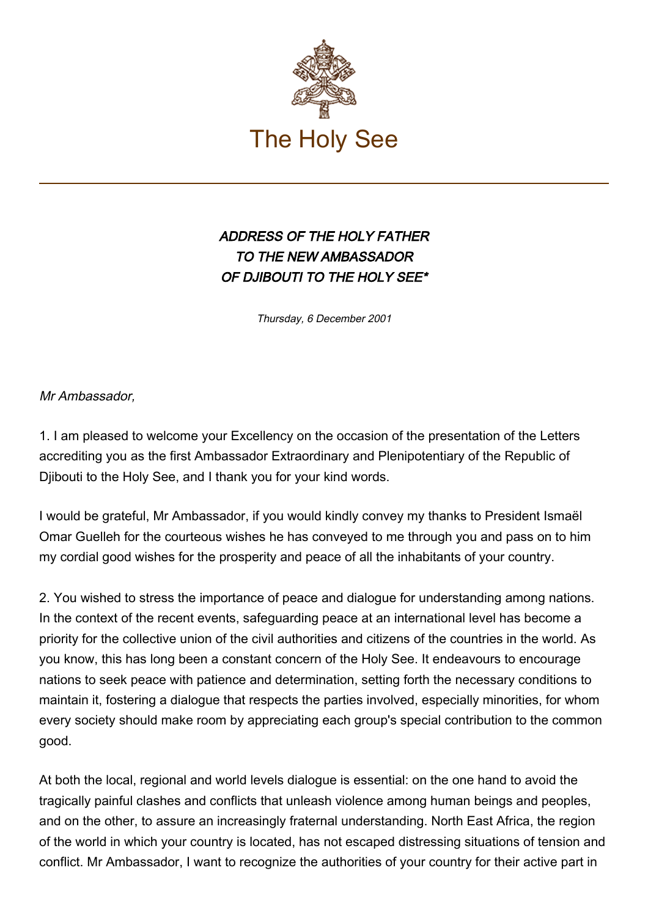

## ADDRESS OF THE HOLY FATHER TO THE NEW AMBASSADOR OF DJIBOUTI TO THE HOLY SEE\*

Thursday, 6 December 2001

Mr Ambassador,

1. I am pleased to welcome your Excellency on the occasion of the presentation of the Letters accrediting you as the first Ambassador Extraordinary and Plenipotentiary of the Republic of Djibouti to the Holy See, and I thank you for your kind words.

I would be grateful, Mr Ambassador, if you would kindly convey my thanks to President Ismaël Omar Guelleh for the courteous wishes he has conveyed to me through you and pass on to him my cordial good wishes for the prosperity and peace of all the inhabitants of your country.

2. You wished to stress the importance of peace and dialogue for understanding among nations. In the context of the recent events, safeguarding peace at an international level has become a priority for the collective union of the civil authorities and citizens of the countries in the world. As you know, this has long been a constant concern of the Holy See. It endeavours to encourage nations to seek peace with patience and determination, setting forth the necessary conditions to maintain it, fostering a dialogue that respects the parties involved, especially minorities, for whom every society should make room by appreciating each group's special contribution to the common good.

At both the local, regional and world levels dialogue is essential: on the one hand to avoid the tragically painful clashes and conflicts that unleash violence among human beings and peoples, and on the other, to assure an increasingly fraternal understanding. North East Africa, the region of the world in which your country is located, has not escaped distressing situations of tension and conflict. Mr Ambassador, I want to recognize the authorities of your country for their active part in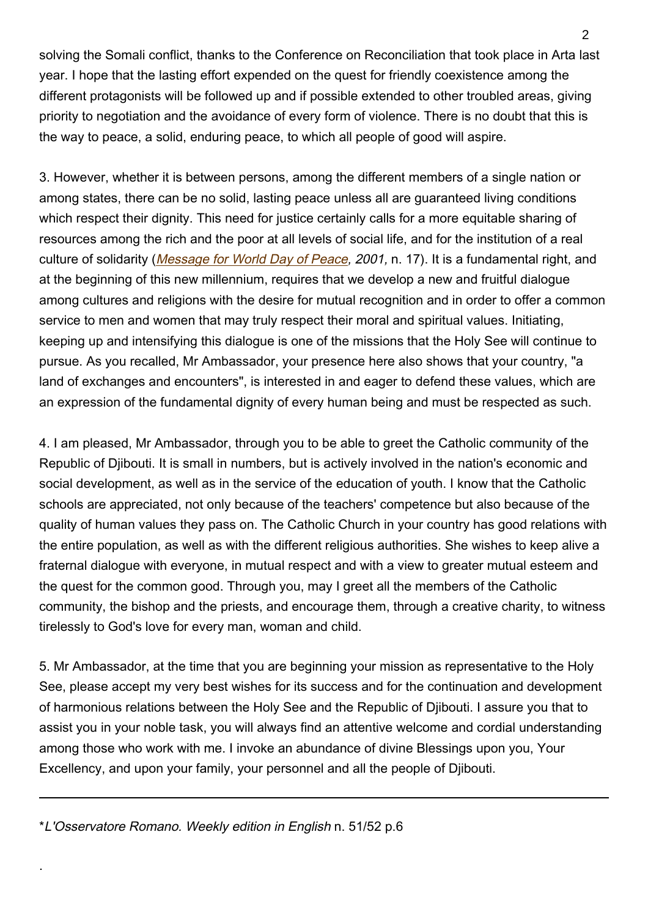solving the Somali conflict, thanks to the Conference on Reconciliation that took place in Arta last year. I hope that the lasting effort expended on the quest for friendly coexistence among the different protagonists will be followed up and if possible extended to other troubled areas, giving priority to negotiation and the avoidance of every form of violence. There is no doubt that this is the way to peace, a solid, enduring peace, to which all people of good will aspire.

3. However, whether it is between persons, among the different members of a single nation or among states, there can be no solid, lasting peace unless all are guaranteed living conditions which respect their dignity. This need for justice certainly calls for a more equitable sharing of resources among the rich and the poor at all levels of social life, and for the institution of a real culture of solidarity (*[Message for World Day of Peace](https://www.vatican.va/content/john-paul-ii/en/messages/peace/documents/hf_jp-ii_mes_20001208_xxxiv-world-day-for-peace.html), 2001*, n. 17). It is a fundamental right, and at the beginning of this new millennium, requires that we develop a new and fruitful dialogue among cultures and religions with the desire for mutual recognition and in order to offer a common service to men and women that may truly respect their moral and spiritual values. Initiating, keeping up and intensifying this dialogue is one of the missions that the Holy See will continue to pursue. As you recalled, Mr Ambassador, your presence here also shows that your country, "a land of exchanges and encounters", is interested in and eager to defend these values, which are an expression of the fundamental dignity of every human being and must be respected as such.

4. I am pleased, Mr Ambassador, through you to be able to greet the Catholic community of the Republic of Djibouti. It is small in numbers, but is actively involved in the nation's economic and social development, as well as in the service of the education of youth. I know that the Catholic schools are appreciated, not only because of the teachers' competence but also because of the quality of human values they pass on. The Catholic Church in your country has good relations with the entire population, as well as with the different religious authorities. She wishes to keep alive a fraternal dialogue with everyone, in mutual respect and with a view to greater mutual esteem and the quest for the common good. Through you, may I greet all the members of the Catholic community, the bishop and the priests, and encourage them, through a creative charity, to witness tirelessly to God's love for every man, woman and child.

5. Mr Ambassador, at the time that you are beginning your mission as representative to the Holy See, please accept my very best wishes for its success and for the continuation and development of harmonious relations between the Holy See and the Republic of Djibouti. I assure you that to assist you in your noble task, you will always find an attentive welcome and cordial understanding among those who work with me. I invoke an abundance of divine Blessings upon you, Your Excellency, and upon your family, your personnel and all the people of Djibouti.

.

<sup>\*</sup>L'Osservatore Romano. Weekly edition in English n. 51/52 p.6